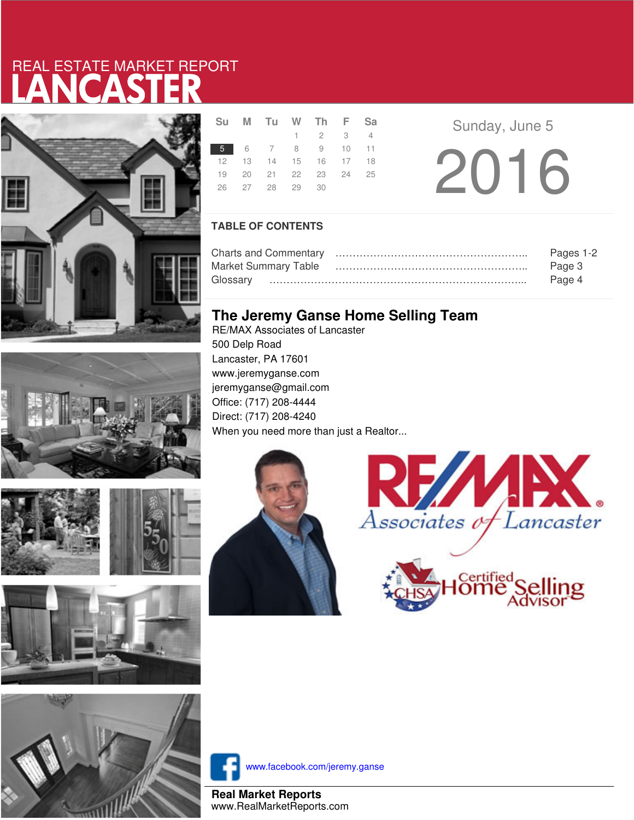# LANCASTER REAL ESTATE MARKET REPORT









|    | Su M Tu W Th F Sa    |                 |  |  |
|----|----------------------|-----------------|--|--|
|    |                      | $1 \t2 \t3 \t4$ |  |  |
|    | 5 6 7 8 9 10 11      |                 |  |  |
| 12 | 13 14 15 16 17 18    |                 |  |  |
|    | 19 20 21 22 23 24 25 |                 |  |  |
|    | 26 27 28 29 30       |                 |  |  |
|    |                      |                 |  |  |

**Sunday, June 5** 2016

### **TABLE OF CONTENTS**

|                      | Pages 1-2 |
|----------------------|-----------|
| Market Summary Table | Page 3    |
|                      | Page 4    |

### **The Jeremy Ganse Home Selling Team**

RE/MAX Associates of Lancaster 500 Delp Road Lancaster, PA 17601 www.jeremyganse.com jeremyganse@gmail.com Office: (717) 208-4444 Direct: (717) 208-4240 When you need more than just a Realtor...







www.facebook.com/jeremy.ganse

**Real Market Reports** www.RealMarketReports.com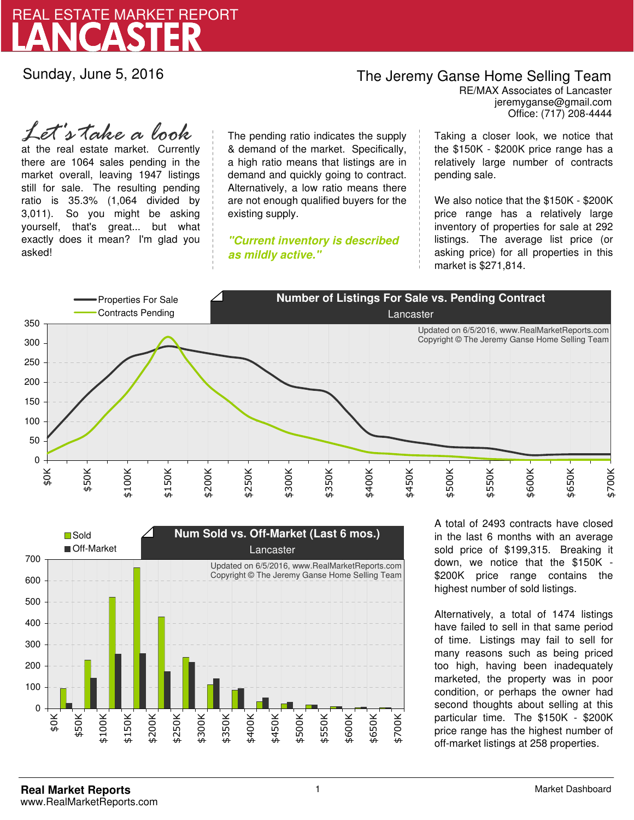

Sunday, June 5, 2016

## The Jeremy Ganse Home Selling Team

jeremyganse@gmail.com RE/MAX Associates of Lancaster Office: (717) 208-4444

at the real estate market. Currently there are 1064 sales pending in the market overall, leaving 1947 listings still for sale. The resulting pending ratio is 35.3% (1,064 divided by 3,011). So you might be asking yourself, that's great... but what exactly does it mean? I'm glad you asked! *Let's take a look*

The pending ratio indicates the supply & demand of the market. Specifically, a high ratio means that listings are in demand and quickly going to contract. Alternatively, a low ratio means there are not enough qualified buyers for the existing supply.

**"Current inventory is described as mildly active."**

Taking a closer look, we notice that the \$150K - \$200K price range has a relatively large number of contracts pending sale.

We also notice that the \$150K - \$200K price range has a relatively large inventory of properties for sale at 292 listings. The average list price (or asking price) for all properties in this market is \$271,814.





A total of 2493 contracts have closed in the last 6 months with an average sold price of \$199,315. Breaking it down, we notice that the \$150K - \$200K price range contains the highest number of sold listings.

Alternatively, a total of 1474 listings have failed to sell in that same period of time. Listings may fail to sell for many reasons such as being priced too high, having been inadequately marketed, the property was in poor condition, or perhaps the owner had second thoughts about selling at this particular time. The \$150K - \$200K price range has the highest number of off-market listings at 258 properties.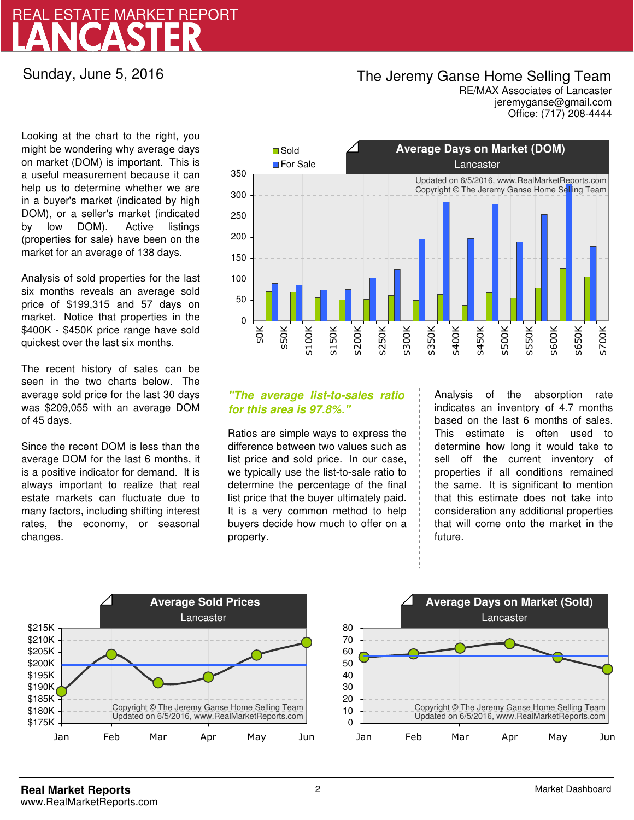## LANCASTER REAL ESTATE MARKET REPORT

Sunday, June 5, 2016

### The Jeremy Ganse Home Selling Team

jeremyganse@gmail.com RE/MAX Associates of Lancaster Office: (717) 208-4444

Looking at the chart to the right, you might be wondering why average days on market (DOM) is important. This is a useful measurement because it can help us to determine whether we are in a buyer's market (indicated by high DOM), or a seller's market (indicated by low DOM). Active listings (properties for sale) have been on the market for an average of 138 days.

Analysis of sold properties for the last six months reveals an average sold price of \$199,315 and 57 days on market. Notice that properties in the \$400K - \$450K price range have sold quickest over the last six months.

The recent history of sales can be seen in the two charts below. The average sold price for the last 30 days was \$209,055 with an average DOM of 45 days.

Since the recent DOM is less than the average DOM for the last 6 months, it is a positive indicator for demand. It is always important to realize that real estate markets can fluctuate due to many factors, including shifting interest rates, the economy, or seasonal changes.



### **"The average list-to-sales ratio for this area is 97.8%."**

Ratios are simple ways to express the difference between two values such as list price and sold price. In our case, we typically use the list-to-sale ratio to determine the percentage of the final list price that the buyer ultimately paid. It is a very common method to help buyers decide how much to offer on a property.

Analysis of the absorption rate indicates an inventory of 4.7 months based on the last 6 months of sales. This estimate is often used to determine how long it would take to sell off the current inventory of properties if all conditions remained the same. It is significant to mention that this estimate does not take into consideration any additional properties that will come onto the market in the future.



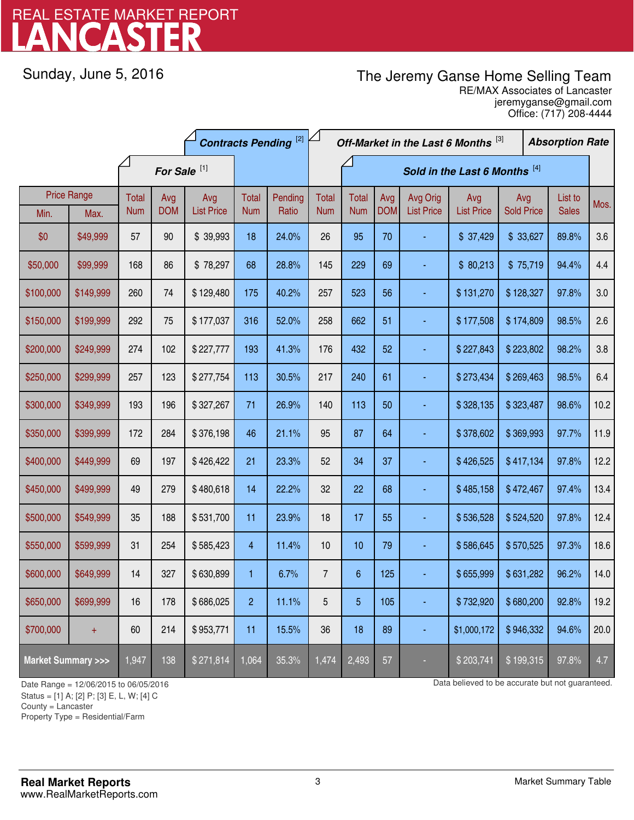# LANCASTER REAL ESTATE MARKET REPORT

Sunday, June 5, 2016

## The Jeremy Ganse Home Selling Team

jeremyganse@gmail.com RE/MAX Associates of Lancaster Office: (717) 208-4444

|                                    |           | <b>Contracts Pending [2]</b> |                   |                          |                     |                  | Off-Market in the Last 6 Months [3] |                               |                   |                               | <b>Absorption Rate</b>   |                          |  |                         |      |
|------------------------------------|-----------|------------------------------|-------------------|--------------------------|---------------------|------------------|-------------------------------------|-------------------------------|-------------------|-------------------------------|--------------------------|--------------------------|--|-------------------------|------|
|                                    |           | For Sale <sup>[1]</sup>      |                   |                          |                     |                  |                                     | Sold in the Last 6 Months [4] |                   |                               |                          |                          |  |                         |      |
| <b>Price Range</b><br>Min.<br>Max. |           | Total<br><b>Num</b>          | Avg<br><b>DOM</b> | Avg<br><b>List Price</b> | Total<br><b>Num</b> | Pending<br>Ratio | <b>Total</b><br><b>Num</b>          | <b>Total</b><br><b>Num</b>    | Avg<br><b>DOM</b> | Avg Orig<br><b>List Price</b> | Avg<br><b>List Price</b> | Avg<br><b>Sold Price</b> |  | List to<br><b>Sales</b> | Mos. |
| \$0                                | \$49,999  | 57                           | 90                | \$39,993                 | 18                  | 24.0%            | 26                                  | 95                            | 70                |                               | \$37,429                 | \$33,627                 |  | 89.8%                   | 3.6  |
| \$50,000                           | \$99,999  | 168                          | 86                | \$78,297                 | 68                  | 28.8%            | 145                                 | 229                           | 69                |                               | \$80,213                 | \$75,719                 |  | 94.4%                   | 4.4  |
| \$100,000                          | \$149,999 | 260                          | 74                | \$129,480                | 175                 | 40.2%            | 257                                 | 523                           | 56                |                               | \$131,270                | \$128,327                |  | 97.8%                   | 3.0  |
| \$150,000                          | \$199,999 | 292                          | 75                | \$177,037                | 316                 | 52.0%            | 258                                 | 662                           | 51                |                               | \$177,508                | \$174,809                |  | 98.5%                   | 2.6  |
| \$200,000                          | \$249,999 | 274                          | 102               | \$227,777                | 193                 | 41.3%            | 176                                 | 432                           | 52                |                               | \$227,843<br>\$223,802   |                          |  | 98.2%                   | 3.8  |
| \$250,000                          | \$299,999 | 257                          | 123               | \$277,754                | 113                 | 30.5%            | 217                                 | 240                           | 61                |                               | \$273,434                | \$269,463                |  | 98.5%                   | 6.4  |
| \$300,000                          | \$349,999 | 193                          | 196               | \$327,267                | 71                  | 26.9%            | 140                                 | 113                           | 50                |                               | \$328,135                | \$323,487                |  | 98.6%                   | 10.2 |
| \$350,000                          | \$399,999 | 172                          | 284               | \$376,198                | 46                  | 21.1%            | 95                                  | 87                            | 64                |                               | \$378,602                | \$369,993                |  | 97.7%                   | 11.9 |
| \$400,000                          | \$449,999 | 69                           | 197               | \$426,422                | 21                  | 23.3%            | 52                                  | 34                            | 37                |                               | \$426,525                | \$417,134                |  | 97.8%                   | 12.2 |
| \$450,000                          | \$499,999 | 49                           | 279               | \$480,618                | 14                  | 22.2%            | 32                                  | 22                            | 68                | ä,                            | \$485,158                | \$472,467                |  | 97.4%                   | 13.4 |
| \$500,000                          | \$549,999 | 35                           | 188               | \$531,700                | 11                  | 23.9%            | 18                                  | 17                            | 55                |                               | \$536,528                | \$524,520                |  | 97.8%                   | 12.4 |
| \$550,000                          | \$599,999 | 31                           | 254               | \$585,423                | $\overline{4}$      | 11.4%            | 10                                  | 10                            | 79                |                               | \$586,645                | \$570,525                |  | 97.3%                   | 18.6 |
| \$600,000                          | \$649,999 | 14                           | 327               | \$630,899                | 1                   | 6.7%             | $\overline{7}$                      | $\boldsymbol{6}$              | 125               |                               | \$655,999                | \$631,282                |  | 96.2%                   | 14.0 |
| \$650,000                          | \$699,999 | 16                           | 178               | \$686,025                | $\overline{2}$      | 11.1%            | 5                                   | 5                             | 105               |                               | \$732,920                | \$680,200                |  | 92.8%                   | 19.2 |
| \$700,000                          | $+$       | 60                           | 214               | \$953,771                | 11                  | 15.5%            | 36                                  | 18                            | 89                |                               | \$1,000,172              | \$946,332                |  | 94.6%                   | 20.0 |
| <b>Market Summary &gt;&gt;&gt;</b> |           | 1,947                        | 138               | \$271,814                | 1,064               | 35.3%            | 1,474                               | 2,493                         | 57                |                               | \$203,741                | \$199,315                |  | 97.8%                   | 4.7  |

Status = [1] A; [2] P; [3] E, L, W; [4] C

County = Lancaster

1

Property Type = Residential/Farm

Date Range = 12/06/2015 to 06/05/2016 Data believed to be accurate but not guaranteed.